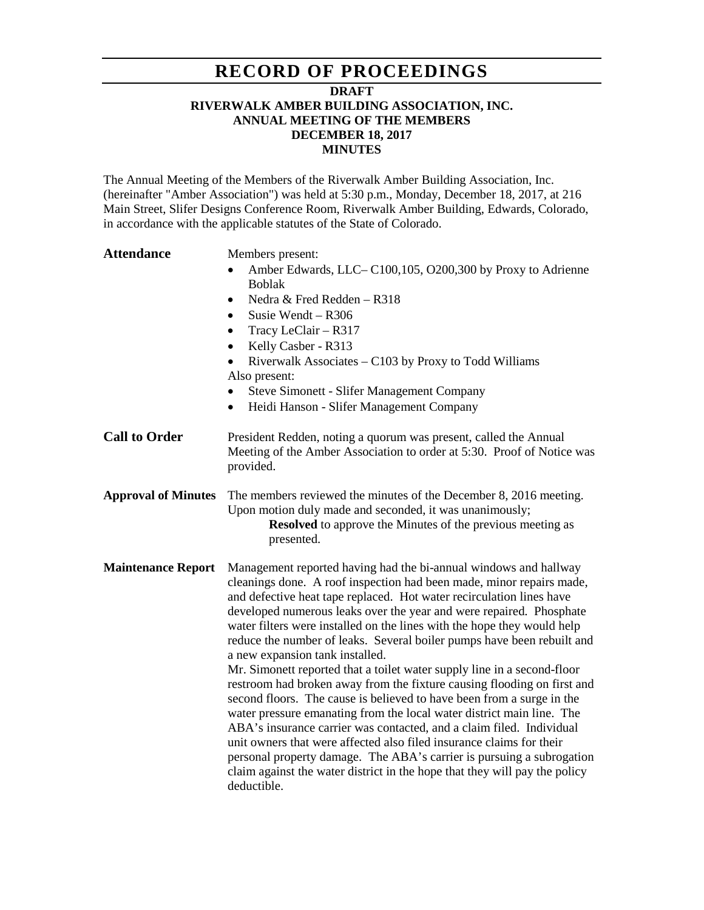## **RECORD OF PROCEEDINGS**

#### **DRAFT**

#### **RIVERWALK AMBER BUILDING ASSOCIATION, INC. ANNUAL MEETING OF THE MEMBERS DECEMBER 18, 2017 MINUTES**

The Annual Meeting of the Members of the Riverwalk Amber Building Association, Inc. (hereinafter "Amber Association") was held at 5:30 p.m., Monday, December 18, 2017, at 216 Main Street, Slifer Designs Conference Room, Riverwalk Amber Building, Edwards, Colorado, in accordance with the applicable statutes of the State of Colorado.

## **Attendance** Members present: • Amber Edwards, LLC– C100,105, O200,300 by Proxy to Adrienne Boblak • Nedra & Fred Redden – R318 • Susie Wendt – R306 • Tracy LeClair – R317 • Kelly Casber - R313 • Riverwalk Associates – C103 by Proxy to Todd Williams Also present: • Steve Simonett - Slifer Management Company • Heidi Hanson - Slifer Management Company **Call to Order** President Redden, noting a quorum was present, called the Annual Meeting of the Amber Association to order at 5:30. Proof of Notice was provided. **Approval of Minutes** The members reviewed the minutes of the December 8, 2016 meeting. Upon motion duly made and seconded, it was unanimously; **Resolved** to approve the Minutes of the previous meeting as presented. **Maintenance Report** Management reported having had the bi-annual windows and hallway cleanings done. A roof inspection had been made, minor repairs made, and defective heat tape replaced. Hot water recirculation lines have developed numerous leaks over the year and were repaired. Phosphate water filters were installed on the lines with the hope they would help reduce the number of leaks. Several boiler pumps have been rebuilt and a new expansion tank installed. Mr. Simonett reported that a toilet water supply line in a second-floor restroom had broken away from the fixture causing flooding on first and second floors. The cause is believed to have been from a surge in the water pressure emanating from the local water district main line. The ABA's insurance carrier was contacted, and a claim filed. Individual unit owners that were affected also filed insurance claims for their personal property damage. The ABA's carrier is pursuing a subrogation claim against the water district in the hope that they will pay the policy deductible.